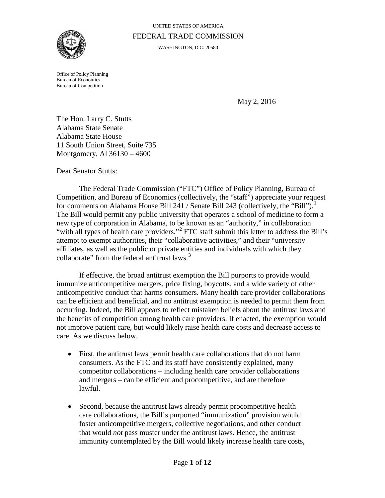

# UNITED STATES OF AMERICA FEDERAL TRADE COMMISSION

WASHINGTON, D.C. 20580

Office of Policy Planning Bureau of Economics Bureau of Competition

May 2, 2016

The Hon. Larry C. Stutts Alabama State Senate Alabama State House 11 South Union Street, Suite 735 Montgomery, Al 36130 – 4600

Dear Senator Stutts:

The Federal Trade Commission ("FTC") Office of Policy Planning, Bureau of Competition, and Bureau of Economics (collectively, the "staff") appreciate your request for comments on Alabama House Bill 24[1](#page-7-0) / Senate Bill 243 (collectively, the "Bill").<sup>1</sup> The Bill would permit any public university that operates a school of medicine to form a new type of corporation in Alabama, to be known as an "authority," in collaboration "with all types of health care providers."<sup>[2](#page-7-1)</sup> FTC staff submit this letter to address the Bill's attempt to exempt authorities, their "collaborative activities," and their "university affiliates, as well as the public or private entities and individuals with which they collaborate" from the federal antitrust laws.<sup>[3](#page-7-2)</sup>

If effective, the broad antitrust exemption the Bill purports to provide would immunize anticompetitive mergers, price fixing, boycotts, and a wide variety of other anticompetitive conduct that harms consumers. Many health care provider collaborations can be efficient and beneficial, and no antitrust exemption is needed to permit them from occurring. Indeed, the Bill appears to reflect mistaken beliefs about the antitrust laws and the benefits of competition among health care providers. If enacted, the exemption would not improve patient care, but would likely raise health care costs and decrease access to care. As we discuss below,

- First, the antitrust laws permit health care collaborations that do not harm consumers. As the FTC and its staff have consistently explained, many competitor collaborations – including health care provider collaborations and mergers – can be efficient and procompetitive, and are therefore lawful.
- Second, because the antitrust laws already permit procompetitive health care collaborations, the Bill's purported "immunization" provision would foster anticompetitive mergers, collective negotiations, and other conduct that would *not* pass muster under the antitrust laws. Hence, the antitrust immunity contemplated by the Bill would likely increase health care costs,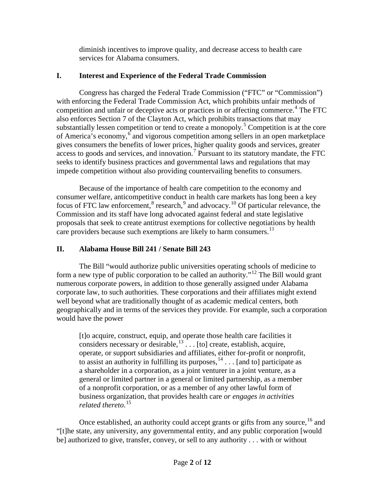diminish incentives to improve quality, and decrease access to health care services for Alabama consumers.

# **I. Interest and Experience of the Federal Trade Commission**

Congress has charged the Federal Trade Commission ("FTC" or "Commission") with enforcing the Federal Trade Commission Act, which prohibits unfair methods of competition and unfair or deceptive acts or practices in or affecting commerce.<sup>[4](#page-8-0)</sup> The FTC also enforces Section 7 of the Clayton Act, which prohibits transactions that may substantially lessen competition or tend to create a monopoly.<sup>[5](#page-8-1)</sup> Competition is at the core of America's economy, $6$  and vigorous competition among sellers in an open marketplace gives consumers the benefits of lower prices, higher quality goods and services, greater access to goods and services, and innovation.<sup>[7](#page-8-3)</sup> Pursuant to its statutory mandate, the FTC seeks to identify business practices and governmental laws and regulations that may impede competition without also providing countervailing benefits to consumers.

<span id="page-1-1"></span><span id="page-1-0"></span>Because of the importance of health care competition to the economy and consumer welfare, anticompetitive conduct in health care markets has long been a key focus of FTC law enforcement, $8$  research, $9$  and advocacy.<sup>[10](#page-8-6)</sup> Of particular relevance, the Commission and its staff have long advocated against federal and state legislative proposals that seek to create antitrust exemptions for collective negotiations by health care providers because such exemptions are likely to harm consumers.<sup>[11](#page-8-7)</sup>

# **II. Alabama House Bill 241 / Senate Bill 243**

The Bill "would authorize public universities operating schools of medicine to form a new type of public corporation to be called an authority."<sup>[12](#page-8-8)</sup> The Bill would grant numerous corporate powers, in addition to those generally assigned under Alabama corporate law, to such authorities. These corporations and their affiliates might extend well beyond what are traditionally thought of as academic medical centers, both geographically and in terms of the services they provide. For example, such a corporation would have the power

[t]o acquire, construct, equip, and operate those health care facilities it considers necessary or desirable, $^{13}$  $^{13}$  $^{13}$ ... [to] create, establish, acquire, operate, or support subsidiaries and affiliates, either for-profit or nonprofit, to assist an authority in fulfilling its purposes,  $14$ ... [and to] participate as a shareholder in a corporation, as a joint venturer in a joint venture, as a general or limited partner in a general or limited partnership, as a member of a nonprofit corporation, or as a member of any other lawful form of business organization, that provides health care *or engages in activities related thereto*. [15](#page-8-11)

Once established, an authority could accept grants or gifts from any source,  $^{16}$  $^{16}$  $^{16}$  and "[t]he state, any university, any governmental entity, and any public corporation [would be] authorized to give, transfer, convey, or sell to any authority . . . with or without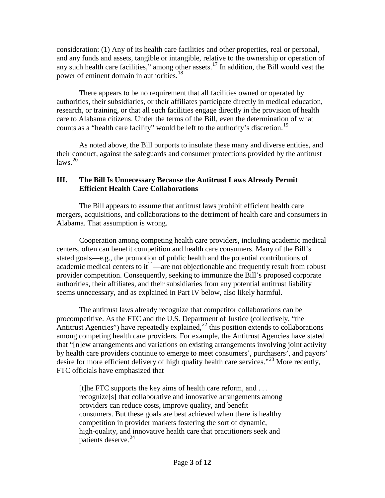consideration: (1) Any of its health care facilities and other properties, real or personal, and any funds and assets, tangible or intangible, relative to the ownership or operation of any such health care facilities," among other assets.[17](#page-9-0) In addition, the Bill would vest the power of eminent domain in authorities.<sup>[18](#page-9-1)</sup>

There appears to be no requirement that all facilities owned or operated by authorities, their subsidiaries, or their affiliates participate directly in medical education, research, or training, or that all such facilities engage directly in the provision of health care to Alabama citizens. Under the terms of the Bill, even the determination of what counts as a "health care facility" would be left to the authority's discretion.<sup>[19](#page-9-2)</sup>

As noted above, the Bill purports to insulate these many and diverse entities, and their conduct, against the safeguards and consumer protections provided by the antitrust  $\mu$ laws.<sup>[20](#page-9-3)</sup>

#### **III. The Bill Is Unnecessary Because the Antitrust Laws Already Permit Efficient Health Care Collaborations**

The Bill appears to assume that antitrust laws prohibit efficient health care mergers, acquisitions, and collaborations to the detriment of health care and consumers in Alabama. That assumption is wrong.

Cooperation among competing health care providers, including academic medical centers, often can benefit competition and health care consumers. Many of the Bill's stated goals—e.g., the promotion of public health and the potential contributions of academic medical centers to  $it^{21}$ —are not objectionable and frequently result from robust provider competition. Consequently, seeking to immunize the Bill's proposed corporate authorities, their affiliates, and their subsidiaries from any potential antitrust liability seems unnecessary, and as explained in Part IV below, also likely harmful.

The antitrust laws already recognize that competitor collaborations can be procompetitive. As the FTC and the U.S. Department of Justice (collectively, "the Antitrust Agencies") have repeatedly explained,<sup>[22](#page-9-5)</sup> this position extends to collaborations among competing health care providers. For example, the Antitrust Agencies have stated that "[n]ew arrangements and variations on existing arrangements involving joint activity by health care providers continue to emerge to meet consumers', purchasers', and payors' desire for more efficient delivery of high quality health care services."<sup>[23](#page-9-6)</sup> More recently, FTC officials have emphasized that

<span id="page-2-1"></span><span id="page-2-0"></span>[t]he FTC supports the key aims of health care reform, and . . . recognize[s] that collaborative and innovative arrangements among providers can reduce costs, improve quality, and benefit consumers. But these goals are best achieved when there is healthy competition in provider markets fostering the sort of dynamic, high-quality, and innovative health care that practitioners seek and patients deserve.<sup>[24](#page-9-7)</sup>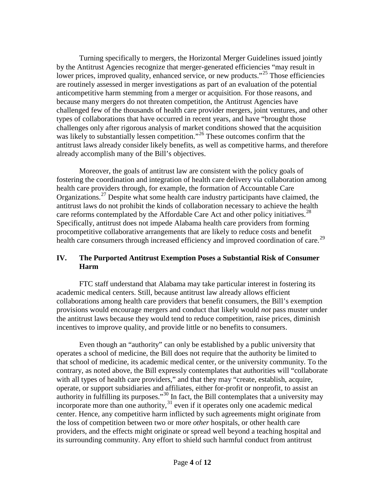Turning specifically to mergers, the Horizontal Merger Guidelines issued jointly by the Antitrust Agencies recognize that merger-generated efficiencies "may result in lower prices, improved quality, enhanced service, or new products."<sup>[25](#page-10-0)</sup> Those efficiencies are routinely assessed in merger investigations as part of an evaluation of the potential anticompetitive harm stemming from a merger or acquisition. For those reasons, and because many mergers do not threaten competition, the Antitrust Agencies have challenged few of the thousands of health care provider mergers, joint ventures, and other types of collaborations that have occurred in recent years, and have "brought those challenges only after rigorous analysis of market conditions showed that the acquisition was likely to substantially lessen competition."<sup>[26](#page-10-1)</sup> These outcomes confirm that the antitrust laws already consider likely benefits, as well as competitive harms, and therefore already accomplish many of the Bill's objectives.

Moreover, the goals of antitrust law are consistent with the policy goals of fostering the coordination and integration of health care delivery via collaboration among health care providers through, for example, the formation of Accountable Care Organizations.<sup>[27](#page-10-2)</sup> Despite what some health care industry participants have claimed, the antitrust laws do not prohibit the kinds of collaboration necessary to achieve the health care reforms contemplated by the Affordable Care Act and other policy initiatives.<sup>[28](#page-10-3)</sup> Specifically, antitrust does not impede Alabama health care providers from forming procompetitive collaborative arrangements that are likely to reduce costs and benefit health care consumers through increased efficiency and improved coordination of care.<sup>[29](#page-10-4)</sup>

## **IV. The Purported Antitrust Exemption Poses a Substantial Risk of Consumer Harm**

FTC staff understand that Alabama may take particular interest in fostering its academic medical centers. Still, because antitrust law already allows efficient collaborations among health care providers that benefit consumers, the Bill's exemption provisions would encourage mergers and conduct that likely would *not* pass muster under the antitrust laws because they would tend to reduce competition, raise prices, diminish incentives to improve quality, and provide little or no benefits to consumers.

Even though an "authority" can only be established by a public university that operates a school of medicine, the Bill does not require that the authority be limited to that school of medicine, its academic medical center, or the university community. To the contrary, as noted above, the Bill expressly contemplates that authorities will "collaborate with all types of health care providers," and that they may "create, establish, acquire, operate, or support subsidiaries and affiliates, either for-profit or nonprofit, to assist an authority in fulfilling its purposes."[30](#page-10-5) In fact, the Bill contemplates that a university may incorporate more than one authority, $3<sup>1</sup>$  even if it operates only one academic medical center. Hence, any competitive harm inflicted by such agreements might originate from the loss of competition between two or more *other* hospitals, or other health care providers, and the effects might originate or spread well beyond a teaching hospital and its surrounding community. Any effort to shield such harmful conduct from antitrust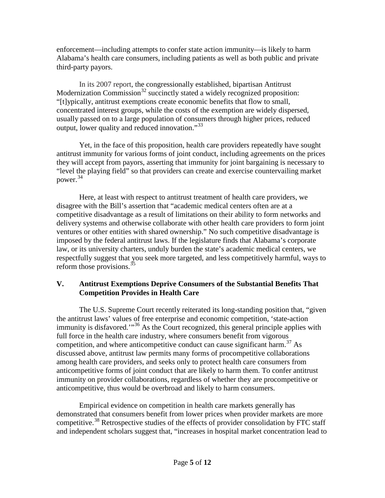enforcement—including attempts to confer state action immunity—is likely to harm Alabama's health care consumers, including patients as well as both public and private third-party payors.

In its 2007 report, the congressionally established, bipartisan Antitrust Modernization Commission<sup>[32](#page-11-0)</sup> succinctly stated a widely recognized proposition: "[t]ypically, antitrust exemptions create economic benefits that flow to small, concentrated interest groups, while the costs of the exemption are widely dispersed, usually passed on to a large population of consumers through higher prices, reduced output, lower quality and reduced innovation."<sup>[33](#page-11-1)</sup>

Yet, in the face of this proposition, health care providers repeatedly have sought antitrust immunity for various forms of joint conduct, including agreements on the prices they will accept from payors, asserting that immunity for joint bargaining is necessary to "level the playing field" so that providers can create and exercise countervailing market power.[34](#page-11-2)

Here, at least with respect to antitrust treatment of health care providers, we disagree with the Bill's assertion that "academic medical centers often are at a competitive disadvantage as a result of limitations on their ability to form networks and delivery systems and otherwise collaborate with other health care providers to form joint ventures or other entities with shared ownership." No such competitive disadvantage is imposed by the federal antitrust laws. If the legislature finds that Alabama's corporate law, or its university charters, unduly burden the state's academic medical centers, we respectfully suggest that you seek more targeted, and less competitively harmful, ways to reform those provisions.  $35$ 

## **V. Antitrust Exemptions Deprive Consumers of the Substantial Benefits That Competition Provides in Health Care**

The U.S. Supreme Court recently reiterated its long-standing position that, "given the antitrust laws' values of free enterprise and economic competition, 'state-action immunity is disfavored.<sup>"[36](#page-11-4)</sup> As the Court recognized, this general principle applies with full force in the health care industry, where consumers benefit from vigorous competition, and where anticompetitive conduct can cause significant harm.<sup>[37](#page-11-5)</sup> As discussed above, antitrust law permits many forms of procompetitive collaborations among health care providers, and seeks only to protect health care consumers from anticompetitive forms of joint conduct that are likely to harm them. To confer antitrust immunity on provider collaborations, regardless of whether they are procompetitive or anticompetitive, thus would be overbroad and likely to harm consumers.

<span id="page-4-0"></span>Empirical evidence on competition in health care markets generally has demonstrated that consumers benefit from lower prices when provider markets are more competitive.<sup>[38](#page-11-6)</sup> Retrospective studies of the effects of provider consolidation by FTC staff and independent scholars suggest that, "increases in hospital market concentration lead to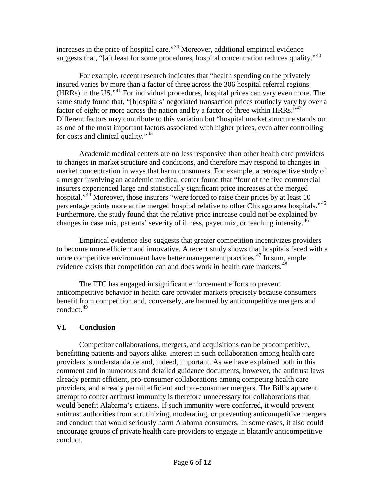<span id="page-5-0"></span>increases in the price of hospital care."[39](#page-11-7) Moreover, additional empirical evidence suggests that, "[a]t least for some procedures, hospital concentration reduces quality."<sup>[40](#page-11-8)</sup>

For example, recent research indicates that "health spending on the privately insured varies by more than a factor of three across the 306 hospital referral regions (HRRs) in the US."[41](#page-11-9) For individual procedures, hospital prices can vary even more. The same study found that, "[h]ospitals' negotiated transaction prices routinely vary by over a factor of eight or more across the nation and by a factor of three within HRRs." $42$ Different factors may contribute to this variation but "hospital market structure stands out as one of the most important factors associated with higher prices, even after controlling for costs and clinical quality."<sup>[43](#page-11-11)</sup>

Academic medical centers are no less responsive than other health care providers to changes in market structure and conditions, and therefore may respond to changes in market concentration in ways that harm consumers. For example, a retrospective study of a merger involving an academic medical center found that "four of the five commercial insurers experienced large and statistically significant price increases at the merged hospital."<sup>[44](#page-11-12)</sup> Moreover, those insurers "were forced to raise their prices by at least 10 percentage points more at the merged hospital relative to other Chicago area hospitals."<sup>[45](#page-11-13)</sup> Furthermore, the study found that the relative price increase could not be explained by changes in case mix, patients' severity of illness, payer mix, or teaching intensity.<sup>[46](#page-11-14)</sup>

Empirical evidence also suggests that greater competition incentivizes providers to become more efficient and innovative. A recent study shows that hospitals faced with a more competitive environment have better management practices.<sup>[47](#page-11-15)</sup> In sum, ample evidence exists that competition can and does work in health care markets.<sup>[48](#page-11-16)</sup>

The FTC has engaged in significant enforcement efforts to prevent anticompetitive behavior in health care provider markets precisely because consumers benefit from competition and, conversely, are harmed by anticompetitive mergers and conduct. [49](#page-11-17)

## **VI. Conclusion**

Competitor collaborations, mergers, and acquisitions can be procompetitive, benefitting patients and payors alike. Interest in such collaboration among health care providers is understandable and, indeed, important. As we have explained both in this comment and in numerous and detailed guidance documents, however, the antitrust laws already permit efficient, pro-consumer collaborations among competing health care providers, and already permit efficient and pro-consumer mergers. The Bill's apparent attempt to confer antitrust immunity is therefore unnecessary for collaborations that would benefit Alabama's citizens. If such immunity were conferred, it would prevent antitrust authorities from scrutinizing, moderating, or preventing anticompetitive mergers and conduct that would seriously harm Alabama consumers. In some cases, it also could encourage groups of private health care providers to engage in blatantly anticompetitive conduct.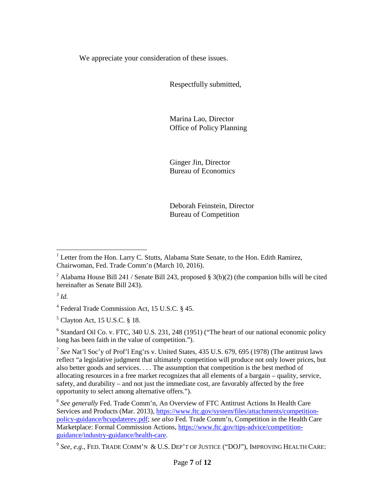We appreciate your consideration of these issues.

Respectfully submitted,

Marina Lao, Director Office of Policy Planning

Ginger Jin, Director Bureau of Economics

Deborah Feinstein, Director Bureau of Competition

 $3$  *Id.* 

<sup>4</sup> Federal Trade Commission Act, 15 U.S.C. § 45.

 $<sup>5</sup>$  Clayton Act, 15 U.S.C. § 18.</sup>

<sup>6</sup> Standard Oil Co. v. FTC, 340 U.S. 231, 248 (1951) ("The heart of our national economic policy long has been faith in the value of competition.").

<sup>7</sup> *See* Nat'l Soc'y of Prof'l Eng'rs v. United States, 435 U.S. 679, 695 (1978) (The antitrust laws reflect "a legislative judgment that ultimately competition will produce not only lower prices, but also better goods and services. . . . The assumption that competition is the best method of allocating resources in a free market recognizes that all elements of a bargain – quality, service, safety, and durability – and not just the immediate cost, are favorably affected by the free opportunity to select among alternative offers.").

<sup>8</sup> *See generally* Fed. Trade Comm'n, An Overview of FTC Antitrust Actions In Health Care Services and Products (Mar. 2013)[, https://www.ftc.gov/system/files/attachments/competition](https://www.ftc.gov/system/files/attachments/competition-policy-guidance/hcupdaterev.pdf)[policy-guidance/hcupdaterev.pdf;](https://www.ftc.gov/system/files/attachments/competition-policy-guidance/hcupdaterev.pdf) *see also* Fed. Trade Comm'n, Competition in the Health Care Marketplace: Formal Commission Actions, [https://www.ftc.gov/tips-advice/competition](https://www.ftc.gov/tips-advice/competition-guidance/industry-guidance/health-care)[guidance/industry-guidance/health-care.](https://www.ftc.gov/tips-advice/competition-guidance/industry-guidance/health-care)

<sup>&</sup>lt;sup>1</sup> Letter from the Hon. Larry C. Stutts, Alabama State Senate, to the Hon. Edith Ramirez, Chairwoman, Fed. Trade Comm'n (March 10, 2016).

<sup>&</sup>lt;sup>2</sup> Alabama House Bill 241 / Senate Bill 243, proposed § 3(b)(2) (the companion bills will be cited hereinafter as Senate Bill 243).

<sup>9</sup> *See, e.g.,* FED. TRADE COMM'N & U.S. DEP'T OF JUSTICE ("DOJ"), IMPROVING HEALTH CARE: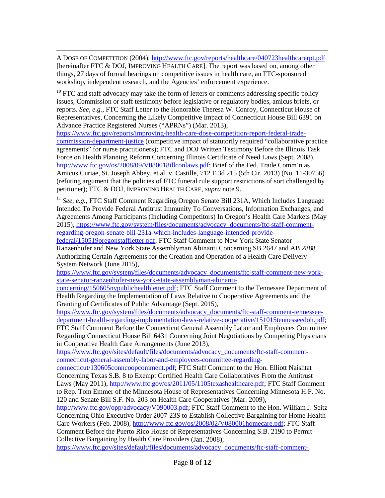$\overline{a}$ A DOSE OF COMPETITION (2004),<http://www.ftc.gov/reports/healthcare/040723healthcarerpt.pdf> [hereinafter FTC & DOJ, IMPROVING HEALTH CARE]. The report was based on, among other things, 27 days of formal hearings on competitive issues in health care, an FTC-sponsored workshop, independent research, and the Agencies' enforcement experience.

<sup>10</sup> FTC and staff advocacy may take the form of letters or comments addressing specific policy issues, Commission or staff testimony before legislative or regulatory bodies, amicus briefs, or reports. *See, e.g.,* [FTC Staff Letter to the Honorable Theresa W. Conroy, Connecticut House of](http://www.ftc.gov/os/2013/03/130319aprnconroy.pdf)  [Representatives, Concerning the Likely Competitive Impact of Connecticut House Bill 6391 on](http://www.ftc.gov/os/2013/03/130319aprnconroy.pdf)  [Advance Practice Registered Nurses](http://www.ftc.gov/os/2013/03/130319aprnconroy.pdf) ("APRNs") (Mar. 2013),

[https://www.ftc.gov/reports/improving-health-care-dose-competition-report-federal-trade](https://www.ftc.gov/reports/improving-health-care-dose-competition-report-federal-trade-commission-department-justice)[commission-department-justice](https://www.ftc.gov/reports/improving-health-care-dose-competition-report-federal-trade-commission-department-justice) (competitive impact of statutorily required "collaborative practice agreements" for nurse practitioners); FTC and DOJ Written Testimony Before the Illinois Task Force on Health Planning Reform Concerning Illinois Certificate of Need Laws (Sept. 2008), [http://www.ftc.gov/os/2008/09/V080018illconlaws.pdf;](http://www.ftc.gov/os/2008/09/V080018illconlaws.pdf) Brief of the Fed. Trade Comm'n as Amicus Curiae, St. Joseph Abbey, et al. v. Castille, 712 F.3d 215 (5th Cir. 2013) (No. 11-30756) (refuting argument that the policies of FTC funeral rule support restrictions of sort challenged by petitioner); FTC & DOJ, IMPROVING HEALTH CARE, *supra* note [9.](#page-1-0)

<sup>11</sup> *See, e.g.*, FTC Staff Comment Regarding Oregon Senate Bill 231A, Which Includes Language [Intended To Provide Federal Antitrust Immunity To Conversations, Information Exchanges, and](https://www.ftc.gov/system/files/documents/advocacy_documents/ftc-staff-comment-regarding-oregon-senate-bill-231a-which-includes-language-intended-provide-federal/150519oregonstaffletter.pdf)  [Agreements Among Participants \(Including Competitors\) In Oregon's Health Care Markets](https://www.ftc.gov/system/files/documents/advocacy_documents/ftc-staff-comment-regarding-oregon-senate-bill-231a-which-includes-language-intended-provide-federal/150519oregonstaffletter.pdf) (May 2015), [https://www.ftc.gov/system/files/documents/advocacy\\_documents/ftc-staff-comment](https://www.ftc.gov/system/files/documents/advocacy_documents/ftc-staff-comment-regarding-oregon-senate-bill-231a-which-includes-language-intended-provide-federal/150519oregonstaffletter.pdf)[regarding-oregon-senate-bill-231a-which-includes-language-intended-provide-](https://www.ftc.gov/system/files/documents/advocacy_documents/ftc-staff-comment-regarding-oregon-senate-bill-231a-which-includes-language-intended-provide-federal/150519oregonstaffletter.pdf)

<span id="page-7-0"></span>[federal/150519oregonstaffletter.pdf;](https://www.ftc.gov/system/files/documents/advocacy_documents/ftc-staff-comment-regarding-oregon-senate-bill-231a-which-includes-language-intended-provide-federal/150519oregonstaffletter.pdf) FTC Staff Comment to New York State Senator Ranzenhofer and New York State Assemblyman Abinanti Concerning SB 2647 and AB 2888 Authorizing Certain Agreements for the Creation and Operation of a Health Care Delivery System Network (June 2015),

<span id="page-7-1"></span>[https://www.ftc.gov/system/files/documents/advocacy\\_documents/ftc-staff-comment-new-york](https://www.ftc.gov/system/files/documents/advocacy_documents/ftc-staff-comment-new-york-state-senator-ranzenhofer-new-york-state-assemblyman-abinanti-concerning/150605nypublichealthletter.pdf)[state-senator-ranzenhofer-new-york-state-assemblyman-abinanti-](https://www.ftc.gov/system/files/documents/advocacy_documents/ftc-staff-comment-new-york-state-senator-ranzenhofer-new-york-state-assemblyman-abinanti-concerning/150605nypublichealthletter.pdf)

<span id="page-7-2"></span>[concerning/150605nypublichealthletter.pdf;](https://www.ftc.gov/system/files/documents/advocacy_documents/ftc-staff-comment-new-york-state-senator-ranzenhofer-new-york-state-assemblyman-abinanti-concerning/150605nypublichealthletter.pdf) [FTC Staff Comment to the Tennessee Department of](https://www.ftc.gov/policy/policy-actions/advocacy-filings/2015/10/ftc-staff-comment-tennessee-department-health-0)  [Health Regarding the Implementation of Laws Relative to Cooperative Agreements and the](https://www.ftc.gov/policy/policy-actions/advocacy-filings/2015/10/ftc-staff-comment-tennessee-department-health-0)  [Granting of Certificates of Public Advantage](https://www.ftc.gov/policy/policy-actions/advocacy-filings/2015/10/ftc-staff-comment-tennessee-department-health-0) (Sept. 2015),

[https://www.ftc.gov/system/files/documents/advocacy\\_documents/ftc-staff-comment-tennessee](https://www.ftc.gov/system/files/documents/advocacy_documents/ftc-staff-comment-tennessee-department-health-regarding-implementation-laws-relative-cooperative/151015tennesseedoh.pdf)[department-health-regarding-implementation-laws-relative-cooperative/151015tennesseedoh.pdf;](https://www.ftc.gov/system/files/documents/advocacy_documents/ftc-staff-comment-tennessee-department-health-regarding-implementation-laws-relative-cooperative/151015tennesseedoh.pdf) [FTC Staff Comment Before the Connecticut General Assembly Labor and Employees Committee](https://www.ftc.gov/sites/default/files/documents/advocacy_documents/ftc-staff-comment-connecticut-general-assembly-labor-and-employees-committee-regarding-connecticut/130605conncoopcomment.pdf)

[Regarding Connecticut House Bill 6431 Concerning Joint Negotiations by Competing Physicians](https://www.ftc.gov/sites/default/files/documents/advocacy_documents/ftc-staff-comment-connecticut-general-assembly-labor-and-employees-committee-regarding-connecticut/130605conncoopcomment.pdf)  [in Cooperative Health Care Arrangements](https://www.ftc.gov/sites/default/files/documents/advocacy_documents/ftc-staff-comment-connecticut-general-assembly-labor-and-employees-committee-regarding-connecticut/130605conncoopcomment.pdf) (June 2013),

[https://www.ftc.gov/sites/default/files/documents/advocacy\\_documents/ftc-staff-comment](https://www.ftc.gov/sites/default/files/documents/advocacy_documents/ftc-staff-comment-connecticut-general-assembly-labor-and-employees-committee-regarding-connecticut/130605conncoopcomment.pdf)[connecticut-general-assembly-labor-and-employees-committee-regarding-](https://www.ftc.gov/sites/default/files/documents/advocacy_documents/ftc-staff-comment-connecticut-general-assembly-labor-and-employees-committee-regarding-connecticut/130605conncoopcomment.pdf)

[connecticut/130605conncoopcomment.pdf;](https://www.ftc.gov/sites/default/files/documents/advocacy_documents/ftc-staff-comment-connecticut-general-assembly-labor-and-employees-committee-regarding-connecticut/130605conncoopcomment.pdf) FTC Staff Comment to the Hon. Elliott Naishtat Concerning Texas S.B. 8 to Exempt Certified Health Care Collaboratives From the Antitrust Laws (May 2011), [http://www.ftc.gov/os/2011/05/1105texashealthcare.pdf;](http://www.ftc.gov/os/2011/05/1105texashealthcare.pdf) [FTC Staff Comment](http://www.ftc.gov/opp/advocacy/V090003.pdf)  [to Rep. Tom Emmer of the Minnesota House of Representatives Concerning Minnesota H.F. No.](http://www.ftc.gov/opp/advocacy/V090003.pdf)  [120 and Senate Bill S.F. No. 203 on Health Care Cooperatives](http://www.ftc.gov/opp/advocacy/V090003.pdf) (Mar. 2009),

[http://www.ftc.gov/opp/advocacy/V090003.pdf;](http://www.ftc.gov/opp/advocacy/V090003.pdf) [FTC Staff Comment to the Hon. William J. Seitz](http://www.ftc.gov/os/2008/02/V080001homecare.pdf)  [Concerning Ohio Executive Order 2007-23S to Establish Collective Bargaining for Home Health](http://www.ftc.gov/os/2008/02/V080001homecare.pdf)  [Care Workers](http://www.ftc.gov/os/2008/02/V080001homecare.pdf) (Feb. 2008), [http://www.ftc.gov/os/2008/02/V080001homecare.pdf;](http://www.ftc.gov/os/2008/02/V080001homecare.pdf) [FTC Staff](http://www.ftc.gov/os/2008/02/v080003puerto.pdf)  [Comment Before the Puerto Rico House of Representatives Concerning S.B. 2190 to Permit](http://www.ftc.gov/os/2008/02/v080003puerto.pdf)  [Collective Bargaining by Health Care Providers](http://www.ftc.gov/os/2008/02/v080003puerto.pdf) (Jan. 2008),

[https://www.ftc.gov/sites/default/files/documents/advocacy\\_documents/ftc-staff-comment-](https://www.ftc.gov/sites/default/files/documents/advocacy_documents/ftc-staff-comment-puerto-rico-house-representatives-concerning-s.b.2190-permit-collective-bargaining-health-care-providers/v080003puerto.pdf)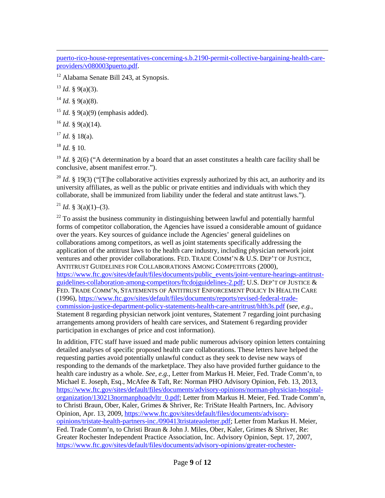$\overline{a}$ [puerto-rico-house-representatives-concerning-s.b.2190-permit-collective-bargaining-health-care](https://www.ftc.gov/sites/default/files/documents/advocacy_documents/ftc-staff-comment-puerto-rico-house-representatives-concerning-s.b.2190-permit-collective-bargaining-health-care-providers/v080003puerto.pdf)[providers/v080003puerto.pdf.](https://www.ftc.gov/sites/default/files/documents/advocacy_documents/ftc-staff-comment-puerto-rico-house-representatives-concerning-s.b.2190-permit-collective-bargaining-health-care-providers/v080003puerto.pdf)

<span id="page-8-8"></span><sup>12</sup> Alabama Senate Bill 243, at Synopsis.

<span id="page-8-9"></span><span id="page-8-6"></span> $13$  *Id.* § 9(a)(3).

<span id="page-8-10"></span> $14$  *Id.* § 9(a)(8).

<span id="page-8-11"></span><sup>15</sup> *Id.* § 9(a)(9) (emphasis added).

<span id="page-8-12"></span> $^{16}$  *Id.* § 9(a)(14).

 $^{17}$  *Id.* § 18(a).

<sup>18</sup> *Id.* § 10.

<sup>19</sup> *Id.* § 2(6) ("A determination by a board that an asset constitutes a health care facility shall be conclusive, absent manifest error.").

<sup>20</sup> *Id.* § 19(3) ("The collaborative activities expressly authorized by this act, an authority and its university affiliates, as well as the public or private entities and individuals with which they collaborate, shall be immunized from liability under the federal and state antitrust laws.").

<span id="page-8-7"></span><sup>21</sup> *Id.* § 3(a)(1)–(3).

 $22$  To assist the business community in distinguishing between lawful and potentially harmful forms of competitor collaboration, the Agencies have issued a considerable amount of guidance over the years. Key sources of guidance include the Agencies' general guidelines on collaborations among competitors, as well as joint statements specifically addressing the application of the antitrust laws to the health care industry, including physician network joint ventures and other provider collaborations. FED. TRADE COMM'N & U.S. DEP'T OF JUSTICE, ANTITRUST GUIDELINES FOR COLLABORATIONS AMONG COMPETITORS (2000), [https://www.ftc.gov/sites/default/files/documents/public\\_events/joint-venture-hearings-antitrust](https://www.ftc.gov/sites/default/files/documents/public_events/joint-venture-hearings-antitrust-guidelines-collaboration-among-competitors/ftcdojguidelines-2.pdf)[guidelines-collaboration-among-competitors/ftcdojguidelines-2.pdf;](https://www.ftc.gov/sites/default/files/documents/public_events/joint-venture-hearings-antitrust-guidelines-collaboration-among-competitors/ftcdojguidelines-2.pdf) U.S. DEP'T OF JUSTICE & FED. TRADE COMM'N, STATEMENTS OF ANTITRUST ENFORCEMENT POLICY IN HEALTH CARE (1996), [https://www.ftc.gov/sites/default/files/documents/reports/revised-federal-trade](https://www.ftc.gov/sites/default/files/documents/reports/revised-federal-trade-commission-justice-department-policy-statements-health-care-antritrust/hlth3s.pdf)[commission-justice-department-policy-statements-health-care-antritrust/hlth3s.pdf](https://www.ftc.gov/sites/default/files/documents/reports/revised-federal-trade-commission-justice-department-policy-statements-health-care-antritrust/hlth3s.pdf) (*see, e.g.,*  Statement 8 regarding physician network joint ventures, Statement 7 regarding joint purchasing arrangements among providers of health care services, and Statement 6 regarding provider participation in exchanges of price and cost information).

<span id="page-8-5"></span><span id="page-8-4"></span><span id="page-8-3"></span><span id="page-8-2"></span><span id="page-8-1"></span><span id="page-8-0"></span>In addition, FTC staff have issued and made public numerous advisory opinion letters containing detailed analyses of specific proposed health care collaborations. These letters have helped the requesting parties avoid potentially unlawful conduct as they seek to devise new ways of responding to the demands of the marketplace. They also have provided further guidance to the health care industry as a whole. *See, e.g.*, Letter from Markus H. Meier, Fed. Trade Comm'n, to Michael E. Joseph, Esq., McAfee & Taft, Re: Norman PHO Advisory Opinion, Feb. 13, 2013, [https://www.ftc.gov/sites/default/files/documents/advisory-opinions/norman-physician-hospital](https://www.ftc.gov/sites/default/files/documents/advisory-opinions/norman-physician-hospital-organization/130213normanphoadvltr_0.pdf)[organization/130213normanphoadvltr\\_0.pdf;](https://www.ftc.gov/sites/default/files/documents/advisory-opinions/norman-physician-hospital-organization/130213normanphoadvltr_0.pdf) Letter from Markus H. Meier, Fed. Trade Comm'n, to Christi Braun, Ober, Kaler, Grimes & Shriver, Re: TriState Health Partners, Inc. Advisory Opinion, Apr. 13, 2009, [https://www.ftc.gov/sites/default/files/documents/advisory](https://www.ftc.gov/sites/default/files/documents/advisory-opinions/tristate-health-partners-inc./090413tristateaoletter.pdf)[opinions/tristate-health-partners-inc./090413tristateaoletter.pdf;](https://www.ftc.gov/sites/default/files/documents/advisory-opinions/tristate-health-partners-inc./090413tristateaoletter.pdf) Letter from Markus H. Meier, Fed. Trade Comm'n, to Christi Braun & John J. Miles, Ober, Kaler, Grimes & Shriver, Re: Greater Rochester Independent Practice Association, Inc. Advisory Opinion, Sept. 17, 2007, [https://www.ftc.gov/sites/default/files/documents/advisory-opinions/greater-rochester-](https://www.ftc.gov/sites/default/files/documents/advisory-opinions/greater-rochester-independent-practice-association-inc./gripa.pdf)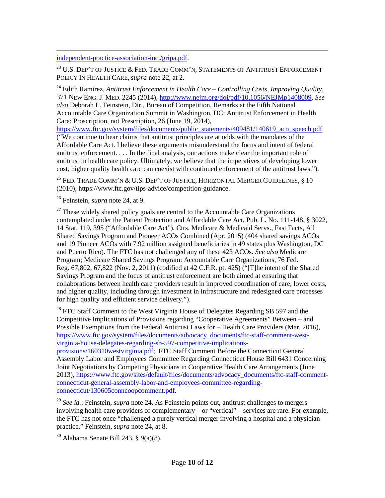[independent-practice-association-inc./gripa.pdf.](https://www.ftc.gov/sites/default/files/documents/advisory-opinions/greater-rochester-independent-practice-association-inc./gripa.pdf)

 $\overline{a}$ 

<span id="page-9-6"></span> $^{23}$  U.S. DEP'T OF JUSTICE & FED. TRADE COMM'N, STATEMENTS OF ANTITRUST ENFORCEMENT POLICY IN HEALTH CARE, *supra* note [22,](#page-2-0) at 2.

<span id="page-9-7"></span><sup>24</sup> Edith Ramirez, *Antitrust Enforcement in Health Care – Controlling Costs, Improving Quality*, 371 NEW ENG. J. MED. 2245 (2014), [http://www.nejm.org/doi/pdf/10.1056/NEJMp1408009.](http://www.nejm.org/doi/pdf/10.1056/NEJMp1408009) *See also* Deborah L. Feinstein, Dir., Bureau of Competition, Remarks at the Fifth National Accountable Care Organization Summit in Washington, DC: Antitrust Enforcement in Health Care: Proscription, not Prescription, 26 (June 19, 2014),

<span id="page-9-1"></span><span id="page-9-0"></span>[https://www.ftc.gov/system/files/documents/public\\_statements/409481/140619\\_aco\\_speech.pdf](https://www.ftc.gov/system/files/documents/public_statements/409481/140619_aco_speech.pdf) ("We continue to hear claims that antitrust principles are at odds with the mandates of the Affordable Care Act. I believe these arguments misunderstand the focus and intent of federal antitrust enforcement. . . . In the final analysis, our actions make clear the important role of antitrust in health care policy. Ultimately, we believe that the imperatives of developing lower cost, higher quality health care can coexist with continued enforcement of the antitrust laws.").

<span id="page-9-3"></span><span id="page-9-2"></span> $^{25}$  Fed. Trade Comm'n & U.S. Dep't of Justice. Horizontal Merger Guidelines, § 10 (2010), https://www.ftc.gov/tips-advice/competition-guidance.

<sup>26</sup> Feinstein, *supra* note [24,](#page-2-1) at 9.

<span id="page-9-5"></span><span id="page-9-4"></span> $27$  These widely shared policy goals are central to the Accountable Care Organizations contemplated under the Patient Protection and Affordable Care Act, Pub. L. No. 111-148, § 3022, 14 Stat. 119, 395 ("Affordable Care Act"). Ctrs. Medicare & Medicaid Servs., Fast Facts, All Shared Savings Program and Pioneer ACOs Combined (Apr. 2015) (404 shared savings ACOs and 19 Pioneer ACOs with 7.92 million assigned beneficiaries in 49 states plus Washington, DC and Puerto Rico). The FTC has not challenged any of these 423 ACOs. *See also* Medicare Program; Medicare Shared Savings Program: Accountable Care Organizations, 76 Fed. Reg. 67,802, 67,822 (Nov. 2, 2011) (codified at 42 C.F.R. pt. 425) ("[T]he intent of the Shared Savings Program and the focus of antitrust enforcement are both aimed at ensuring that collaborations between health care providers result in improved coordination of care, lower costs, and higher quality, including through investment in infrastructure and redesigned care processes for high quality and efficient service delivery.").

 $28$  FTC Staff Comment to the West Virginia House of Delegates Regarding SB 597 and the Competitive Implications of Provisions regarding "Cooperative Agreements" Between – and Possible Exemptions from the Federal Antitrust Laws for – Health Care Providers (Mar. 2016), [https://www.ftc.gov/system/files/documents/advocacy\\_documents/ftc-staff-comment-west](https://www.ftc.gov/system/files/documents/advocacy_documents/ftc-staff-comment-west-virginia-house-delegates-regarding-sb-597-competitive-implications-provisions/160310westvirginia.pdf)[virginia-house-delegates-regarding-sb-597-competitive-implications-](https://www.ftc.gov/system/files/documents/advocacy_documents/ftc-staff-comment-west-virginia-house-delegates-regarding-sb-597-competitive-implications-provisions/160310westvirginia.pdf)

[provisions/160310westvirginia.pdf;](https://www.ftc.gov/system/files/documents/advocacy_documents/ftc-staff-comment-west-virginia-house-delegates-regarding-sb-597-competitive-implications-provisions/160310westvirginia.pdf) [FTC Staff Comment Before the Connecticut General](https://www.ftc.gov/sites/default/files/documents/advocacy_documents/ftc-staff-comment-connecticut-general-assembly-labor-and-employees-committee-regarding-connecticut/130605conncoopcomment.pdf)  [Assembly Labor and Employees Committee Regarding Connecticut House Bill 6431 Concerning](https://www.ftc.gov/sites/default/files/documents/advocacy_documents/ftc-staff-comment-connecticut-general-assembly-labor-and-employees-committee-regarding-connecticut/130605conncoopcomment.pdf)  [Joint Negotiations by Competing Physicians in Cooperative Health Care Arrangements](https://www.ftc.gov/sites/default/files/documents/advocacy_documents/ftc-staff-comment-connecticut-general-assembly-labor-and-employees-committee-regarding-connecticut/130605conncoopcomment.pdf) (June 2013), [https://www.ftc.gov/sites/default/files/documents/advocacy\\_documents/ftc-staff-comment](https://www.ftc.gov/sites/default/files/documents/advocacy_documents/ftc-staff-comment-connecticut-general-assembly-labor-and-employees-committee-regarding-connecticut/130605conncoopcomment.pdf)[connecticut-general-assembly-labor-and-employees-committee-regarding](https://www.ftc.gov/sites/default/files/documents/advocacy_documents/ftc-staff-comment-connecticut-general-assembly-labor-and-employees-committee-regarding-connecticut/130605conncoopcomment.pdf)[connecticut/130605conncoopcomment.pdf.](https://www.ftc.gov/sites/default/files/documents/advocacy_documents/ftc-staff-comment-connecticut-general-assembly-labor-and-employees-committee-regarding-connecticut/130605conncoopcomment.pdf)

<sup>29</sup> *See id.*; Feinstein, *supra* note [24.](#page-2-1) As Feinstein points out, antitrust challenges to mergers involving health care providers of complementary – or "vertical" – services are rare. For example, the FTC has not once "challenged a purely vertical merger involving a hospital and a physician practice." Feinstein, *supra* note [24,](#page-2-1) at 8.

 $30$  Alabama Senate Bill 243, § 9(a)(8).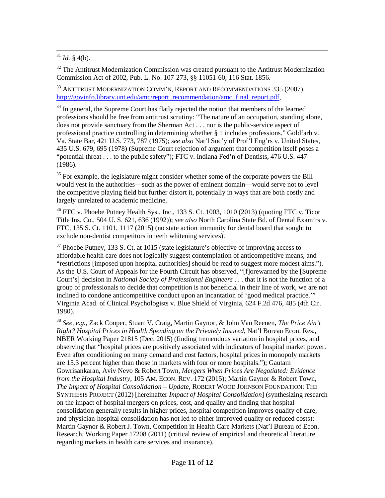<span id="page-10-6"></span> $31$  *Id.* § 4(b).

 $32$  The [Antitrust Modernization](http://govinfo.library.unt.edu/amc/pdf/statute/amc_act.pdf) Commission was created pursuant to the Antitrust Modernization [Commission Act of 2002, Pub. L. No. 107-273, §§ 11051-60, 116 Stat. 1856.](http://govinfo.library.unt.edu/amc/pdf/statute/amc_act.pdf)

<sup>33</sup> ANTITRUST MODERNIZATION COMM'N, REPORT AND RECOMMENDATIONS 335 (2007), [http://govinfo.library.unt.edu/amc/report\\_recommendation/amc\\_final\\_report.pdf.](http://govinfo.library.unt.edu/amc/report_recommendation/amc_final_report.pdf)

<sup>34</sup> In general, the Supreme Court has flatly rejected the notion that members of the learned professions should be free from antitrust scrutiny: "The nature of an occupation, standing alone, does not provide sanctuary from the Sherman Act . . . nor is the public-service aspect of professional practice controlling in determining whether § 1 includes professions." [Goldfarb v.](http://www.lexis.com/research/xlink?app=00075&view=full&searchtype=le&search=421+U.S.+773%2520at%2520787)  [Va. State Bar, 421 U.S. 773, 787 \(1975\);](http://www.lexis.com/research/xlink?app=00075&view=full&searchtype=le&search=421+U.S.+773%2520at%2520787) *see also* Nat'l Soc'y of Prof'l Eng'rs v. United States, 435 U.S. 679, 695 (1978) (Supreme Court rejection of argument that competition itself poses a "potential threat . . . to the public safety"); FTC v. Indiana Fed'n of Dentists, 476 U.S. 447 (1986).

<span id="page-10-0"></span><sup>35</sup> For example, the legislature might consider whether some of the corporate powers the Bill would vest in the authorities—such as the power of eminent domain—would serve not to level the competitive playing field but further distort it, potentially in ways that are both costly and largely unrelated to academic medicine.

<span id="page-10-2"></span><span id="page-10-1"></span> $36$  FTC v. Phoebe Putney Health Sys., Inc., 133 S. Ct. 1003, 1010 (2013) (quoting FTC v. Ticor Title Ins. Co., 504 U. S. 621, 636 (1992)); *see also* North Carolina State Bd. of Dental Exam'rs v. FTC, 135 S. Ct. 1101, 1117 (2015) (no state action immunity for dental board that sought to exclude non-dentist competitors in teeth whitening services).

 $37$  Phoebe Putney, 133 S. Ct. at 1015 (state legislature's objective of improving access to affordable health care does not logically suggest contemplation of anticompetitive means, and "restrictions [imposed upon hospital authorities] should be read to suggest more modest aims."). As the U.S. Court of Appeals for the Fourth Circuit has observed, "[f]orewarned by the [Supreme Court's] decision in *National Society of Professional Engineers* . . . that it is not the function of a group of professionals to decide that competition is not beneficial in their line of work, we are not inclined to condone anticompetitive conduct upon an incantation of 'good medical practice.'" Virginia Acad. [of Clinical Psychologists v. Blue Shield of Virginia, 624 F.2d 476, 485 \(4th Cir.](http://www.lexis.com/research/xlink?app=00075&view=full&searchtype=get&search=624+F.2d+476%2520at%2520485)  [1980\).](http://www.lexis.com/research/xlink?app=00075&view=full&searchtype=get&search=624+F.2d+476%2520at%2520485)

<span id="page-10-5"></span><span id="page-10-4"></span><span id="page-10-3"></span><sup>38</sup> *See, e.g.,* Zack Cooper, Stuart V. Craig, Martin Gaynor, & John Van Reenen, *The Price Ain't Right? Hospital Prices in Health Spending on the Privately Insured*, Nat'l Bureau Econ. Res., NBER Working Paper 21815 (Dec. 2015) (finding tremendous variation in hospital prices, and observing that "hospital prices are positively associated with indicators of hospital market power. Even after conditioning on many demand and cost factors, hospital prices in monopoly markets are 15.3 percent higher than those in markets with four or more hospitals."); [Gautam](http://awards.concurrences.com/article/articles-awards/academic-articles-awards/article/mergers-when-prices-are-negotiated-evidence-from-the-hospital-industry)  Gowrisankaran, Aviv Nevo & Robert Town, *[Mergers When Prices Are Negotiated: Evidence](http://awards.concurrences.com/article/articles-awards/academic-articles-awards/article/mergers-when-prices-are-negotiated-evidence-from-the-hospital-industry)  [from the Hospital Industry](http://awards.concurrences.com/article/articles-awards/academic-articles-awards/article/mergers-when-prices-are-negotiated-evidence-from-the-hospital-industry)*, 105 AM. ECON. REV. 172 (2015); Martin Gaynor & Robert Town, *The Impact of Hospital Consolidation – Update*, ROBERT WOOD JOHNSON FOUNDATION: THE SYNTHESIS PROJECT (2012) [hereinafter *Impact of Hospital Consolidation*] (synthesizing research on the impact of hospital mergers on prices, cost, and quality and finding that hospital consolidation generally results in higher prices, hospital competition improves quality of care, and physician-hospital consolidation has not led to either improved quality or reduced costs); Martin Gaynor & Robert J. Town, Competition in Health Care Markets (Nat'l Bureau of Econ. Research, Working Paper 17208 (2011) (critical review of empirical and theoretical literature regarding markets in health care services and insurance).